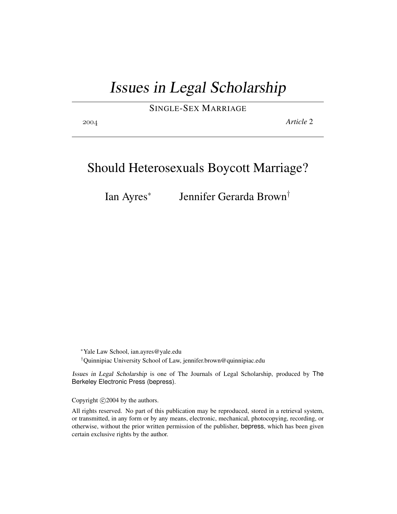# Issues in Legal Scholarship

SINGLE-SEX MARRIAGE

*Article* 2

# Should Heterosexuals Boycott Marriage?

Ian Ayres<sup>∗</sup> Jennifer Gerarda Brown†

<sup>∗</sup>Yale Law School, ian.ayres@yale.edu †Quinnipiac University School of Law, jennifer.brown@quinnipiac.edu

Issues in Legal Scholarship is one of The Journals of Legal Scholarship, produced by The Berkeley Electronic Press (bepress).

Copyright  $\odot$  2004 by the authors.

All rights reserved. No part of this publication may be reproduced, stored in a retrieval system, or transmitted, in any form or by any means, electronic, mechanical, photocopying, recording, or otherwise, without the prior written permission of the publisher, bepress, which has been given certain exclusive rights by the author.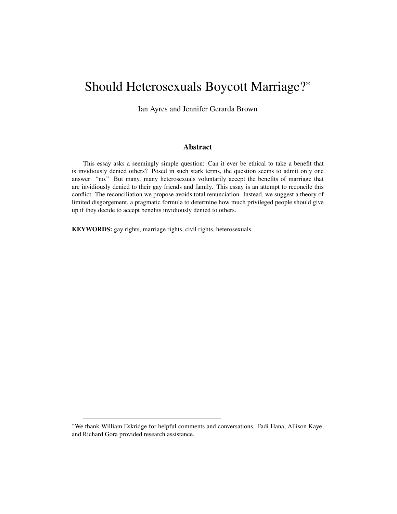# Should Heterosexuals Boycott Marriage?<sup>∗</sup>

Ian Ayres and Jennifer Gerarda Brown

### Abstract

This essay asks a seemingly simple question: Can it ever be ethical to take a benefit that is invidiously denied others? Posed in such stark terms, the question seems to admit only one answer: "no." But many, many heterosexuals voluntarily accept the benefits of marriage that are invidiously denied to their gay friends and family. This essay is an attempt to reconcile this conflict. The reconciliation we propose avoids total renunciation. Instead, we suggest a theory of limited disgorgement, a pragmatic formula to determine how much privileged people should give up if they decide to accept benefits invidiously denied to others.

KEYWORDS: gay rights, marriage rights, civil rights, heterosexuals

<sup>∗</sup>We thank William Eskridge for helpful comments and conversations. Fadi Hana, Allison Kaye, and Richard Gora provided research assistance.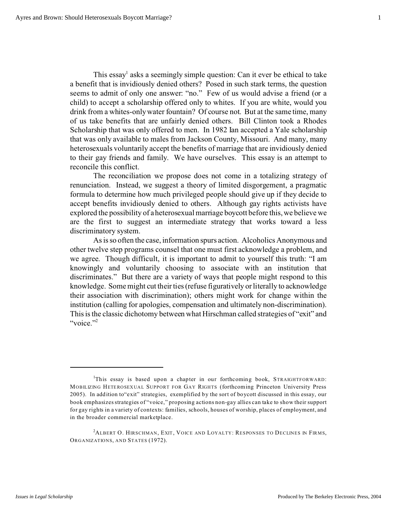This essay<sup>1</sup> asks a seemingly simple question: Can it ever be ethical to take a benefit that is invidiously denied others? Posed in such stark terms, the question seems to admit of only one answer: "no." Few of us would advise a friend (or a child) to accept a scholarship offered only to whites. If you are white, would you drink from a whites-only water fountain? Of course not. But at the same time, many of us take benefits that are unfairly denied others. Bill Clinton took a Rhodes Scholarship that was only offered to men. In 1982 Ian accepted a Yale scholarship that was only available to males from Jackson County, Missouri. And many, many heterosexuals voluntarily accept the benefits of marriage that are invidiously denied to their gay friends and family. We have ourselves. This essay is an attempt to reconcile this conflict.

The reconciliation we propose does not come in a totalizing strategy of renunciation. Instead, we suggest a theory of limited disgorgement, a pragmatic formula to determine how much privileged people should give up if they decide to accept benefits invidiously denied to others. Although gay rights activists have explored the possibility of a heterosexual marriage boycott before this, we believe we are the first to suggest an intermediate strategy that works toward a less discriminatory system.

As is so often the case, information spurs action. Alcoholics Anonymous and other twelve step programs counsel that one must first acknowledge a problem, and we agree. Though difficult, it is important to admit to yourself this truth: "I am knowingly and voluntarily choosing to associate with an institution that discriminates." But there are a variety of ways that people might respond to this knowledge. Some might cut their ties (refuse figuratively or literally to acknowledge their association with discrimination); others might work for change within the institution (calling for apologies, compensation and ultimately non-discrimination). This is the classic dichotomy between what Hirschman called strategies of "exit" and "voice." $\frac{2}{3}$ 

<sup>&</sup>lt;sup>1</sup>This essay is based upon a chapter in our forthcoming book, STRAIGHTFORWARD: MOBILIZING HETERO SEX UAL SUPPORT FOR GAY RIGHTS (forthcoming Princeton University Press 2005). In addition to"exit" strategies, exemplified by the sort of boycott discussed in this essay, our book emphasizes strategies of "voice," proposing actions non-gay allies can take to show their support for gay rights in a variety of contexts: families, schools, houses of worship, places of employment, and in the broader commercial marketplace.

<sup>&</sup>lt;sup>2</sup>ALBERT O. HIRSCHMAN, EXIT, VOICE AND LOYALTY: RESPONSES TO DECLINES IN FIRMS, ORGANIZATIONS, AND STATES (1972).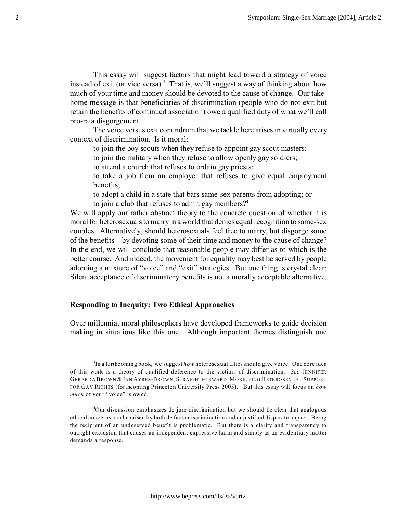This essay will suggest factors that might lead toward a strategy of voice instead of exit (or vice versa).<sup>3</sup> That is, we'll suggest a way of thinking about how much of your time and money should be devoted to the cause of change. Our takehome message is that beneficiaries of discrimination (people who do not exit but retain the benefits of continued association) owe a qualified duty of what we'll call pro-rata disgorgement.

The voice versus exit conundrum that we tackle here arises in virtually every context of discrimination. Is it moral:

to join the boy scouts when they refuse to appoint gay scout masters;

to join the military when they refuse to allow openly gay soldiers;

to attend a church that refuses to ordain gay priests;

to take a job from an employer that refuses to give equal employment benefits;

to adopt a child in a state that bars same-sex parents from adopting; or to join a club that refuses to admit gay members? $4$ 

We will apply our rather abstract theory to the concrete question of whether it is moral for heterosexuals to marry in a world that denies equal recognition to same-sex couples. Alternatively, should heterosexuals feel free to marry, but disgorge some of the benefits – by devoting some of their time and money to the cause of change? In the end, we will conclude that reasonable people may differ as to which is the better course. And indeed, the movement for equality may best be served by people adopting a mixture of "voice" and "exit" strategies. But one thing is crystal clear: Silent acceptance of discriminatory benefits is not a morally acceptable alternative.

# **Responding to Inequity: Two Ethical Approaches**

Over millennia, moral philosophers have developed frameworks to guide decision making in situations like this one. Although important themes distinguish one

<sup>3</sup> In a forthcoming book, we suggest *how* heterosexual allies should give voice. One core idea of this work is a theory of qualified deference to the victims of discrimination. *See* JENNIFER GERARDA BROWN & IAN AYRES-BROWN, STRAIGHTFORWARD: MOBILIZING HETEROSEXUAL SUPPORT FOR GAY RIGHTS (forthcoming Princeton University Press 2005). But this essay will focus on *how much* of your "voice" is owed.

<sup>4</sup>Our discussion emphasizes de jure discrimination but we should be clear that analogous ethical concerns can be raised by both de facto discrimination and unjustified disparate impact. Being the recipient of an undeserved benefit is problematic. But there is a clarity and transparency to outright exclusion that causes an independent expressive harm and simply as an evidentiary matter demands a response.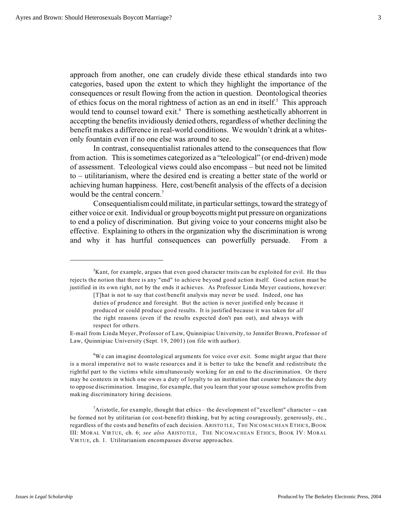approach from another, one can crudely divide these ethical standards into two categories, based upon the extent to which they highlight the importance of the consequences or result flowing from the action in question. Deontological theories of ethics focus on the moral rightness of action as an end in itself.<sup>5</sup> This approach would tend to counsel toward exit.<sup>6</sup> There is something aesthetically abhorrent in accepting the benefits invidiously denied others, regardless of whether declining the benefit makes a difference in real-world conditions. We wouldn't drink at a whitesonly fountain even if no one else was around to see.

In contrast, consequentialist rationales attend to the consequences that flow from action. This is sometimes categorized as a "teleological" (or end-driven) mode of assessment. Teleological views could also encompass – but need not be limited to – utilitarianism, where the desired end is creating a better state of the world or achieving human happiness. Here, cost/benefit analysis of the effects of a decision would be the central concern.<sup>7</sup>

Consequentialism could militate, in particular settings, toward the strategy of either voice or exit. Individual or group boycotts might put pressure on organizations to end a policy of discrimination. But giving voice to your concerns might also be effective. Explaining to others in the organization why the discrimination is wrong and why it has hurtful consequences can powerfully persuade. From a

 $6W$ e can imagine deontological arguments for voice over exit. Some might argue that there is a moral imperative not to waste resources and it is better to take the benefit and redistribute the rightful part to the victims while simultaneously working for an end to the discrimination. Or there may be contexts in which one owes a duty of loyalty to an institution that counter balances the duty to oppose discrimination. Imagine, for example, that you learn that your spouse somehow profits from making discriminatory hiring decisions.

 $7A$ ristotle, for example, thought that ethics – the development of "excellent" character -- can be formed not by utilitarian (or cost-benefit) thinking, but by acting courageously, generously, etc., regardless of the costs and benefits of each decision. ARISTO TLE, THE NICOMACHEAN ETHICS, BOOK III: MOR AL VIRTUE, ch. 6; *see also* ARISTO TLE, THE NICOMACHEAN ETHICS, BOOK IV: MORAL VIRTUE, ch. 1. Utilitarianism encompasses diverse approaches.

 ${}^{5}$ Kant, for example, argues that even good character traits can be exploited for evil. He thus rejects the notion that there is any "end" to achieve beyond good action itself. Good action must be justified in its own right, not by the ends it achieves. As Professor Linda Meyer cautions, however:

<sup>[</sup>T]hat is not to say that cost/benefit analysis may never be used. Indeed, one has duties of prudence and foresight. But the action is never justified only because it produced or could produce good results. It is justified because it was taken for *all* the right reasons (even if the results expected don't pan out), and always with respect for others.

E-mail from Linda Meyer, Professor of Law, Quinnipiac University, to Jennifer Brown, Professor of Law, Quinnipiac University (Sept. 19, 2001) (on file with author).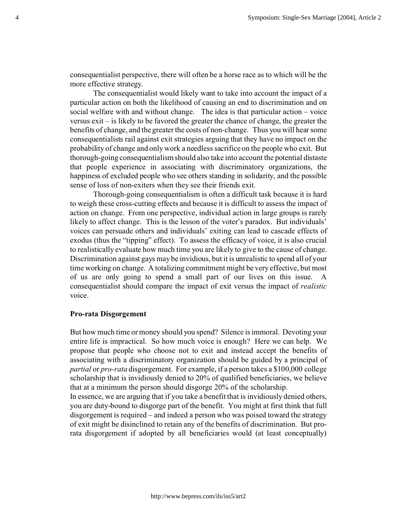consequentialist perspective, there will often be a horse race as to which will be the more effective strategy.

The consequentialist would likely want to take into account the impact of a particular action on both the likelihood of causing an end to discrimination and on social welfare with and without change. The idea is that particular action – voice versus exit – is likely to be favored the greater the chance of change, the greater the benefits of change, and the greater the costs of non-change. Thus you will hear some consequentialists rail against exit strategies arguing that they have no impact on the probability of change and only work a needless sacrifice on the people who exit. But thorough-going consequentialism should also take into account the potential distaste that people experience in associating with discriminatory organizations, the happiness of excluded people who see others standing in solidarity, and the possible sense of loss of non-exiters when they see their friends exit.

Thorough-going consequentialism is often a difficult task because it is hard to weigh these cross-cutting effects and because it is difficult to assess the impact of action on change. From one perspective, individual action in large groups is rarely likely to affect change. This is the lesson of the voter's paradox. But individuals' voices can persuade others and individuals' exiting can lead to cascade effects of exodus (thus the "tipping" effect). To assess the efficacy of voice, it is also crucial to realistically evaluate how much time you are likely to give to the cause of change. Discrimination against gays may be invidious, but it is unrealistic to spend all of your time working on change. A totalizing commitment might be very effective, but most of us are only going to spend a small part of our lives on this issue. A consequentialist should compare the impact of exit versus the impact of *realistic* voice.

## **Pro-rata Disgorgement**

But how much time or money should you spend? Silence is immoral. Devoting your entire life is impractical. So how much voice is enough? Here we can help. We propose that people who choose not to exit and instead accept the benefits of associating with a discriminatory organization should be guided by a principal of *partial* or *pro-rata* disgorgement. For example, if a person takes a \$100,000 college scholarship that is invidiously denied to 20% of qualified beneficiaries, we believe that at a minimum the person should disgorge 20% of the scholarship.

In essence, we are arguing that if you take a benefit that is invidiously denied others, you are duty-bound to disgorge part of the benefit. You might at first think that full disgorgement is required – and indeed a person who was poised toward the strategy of exit might be disinclined to retain any of the benefits of discrimination. But prorata disgorgement if adopted by all beneficiaries would (at least conceptually)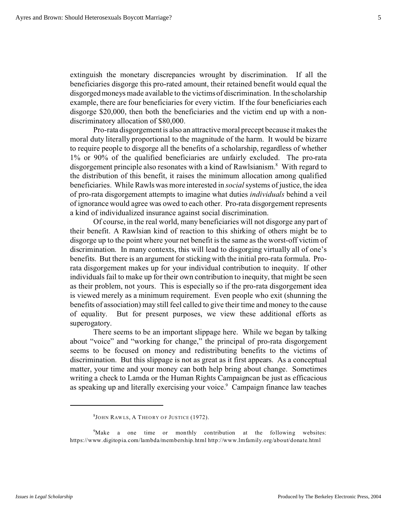extinguish the monetary discrepancies wrought by discrimination. If all the beneficiaries disgorge this pro-rated amount, their retained benefit would equal the disgorged moneys made available to the victims of discrimination. In the scholarship example, there are four beneficiaries for every victim. If the four beneficiaries each disgorge \$20,000, then both the beneficiaries and the victim end up with a nondiscriminatory allocation of \$80,000.

Pro-rata disgorgement is also an attractive moral precept because it makes the moral duty literally proportional to the magnitude of the harm. It would be bizarre to require people to disgorge all the benefits of a scholarship, regardless of whether 1% or 90% of the qualified beneficiaries are unfairly excluded. The pro-rata disgorgement principle also resonates with a kind of Rawlsianism.<sup>8</sup> With regard to the distribution of this benefit, it raises the minimum allocation among qualified beneficiaries. While Rawls was more interested in *social*systems of justice, the idea of pro-rata disgorgement attempts to imagine what duties *individuals* behind a veil of ignorance would agree was owed to each other. Pro-rata disgorgement represents a kind of individualized insurance against social discrimination.

Of course, in the real world, many beneficiaries will not disgorge any part of their benefit. A Rawlsian kind of reaction to this shirking of others might be to disgorge up to the point where your net benefit is the same as the worst-off victim of discrimination. In many contexts, this will lead to disgorging virtually all of one's benefits. But there is an argument for sticking with the initial pro-rata formula. Prorata disgorgement makes up for your individual contribution to inequity. If other individuals fail to make up for their own contribution to inequity, that might be seen as their problem, not yours. This is especially so if the pro-rata disgorgement idea is viewed merely as a minimum requirement. Even people who exit (shunning the benefits of association) may still feel called to give their time and money to the cause of equality. But for present purposes, we view these additional efforts as superogatory.

There seems to be an important slippage here. While we began by talking about "voice" and "working for change," the principal of pro-rata disgorgement seems to be focused on money and redistributing benefits to the victims of discrimination. But this slippage is not as great as it first appears. As a conceptual matter, your time and your money can both help bring about change. Sometimes writing a check to Lamda or the Human Rights Campaigncan be just as efficacious as speaking up and literally exercising your voice.<sup>9</sup> Campaign finance law teaches

 $^8$ John Rawls, A Theory of Justice (1972).

<sup>&</sup>lt;sup>9</sup>Make a one time or monthly contribution at the following websites: https://www.digitopia.com/lambda/membership.html http://www.lmfamily.org/about/donate.html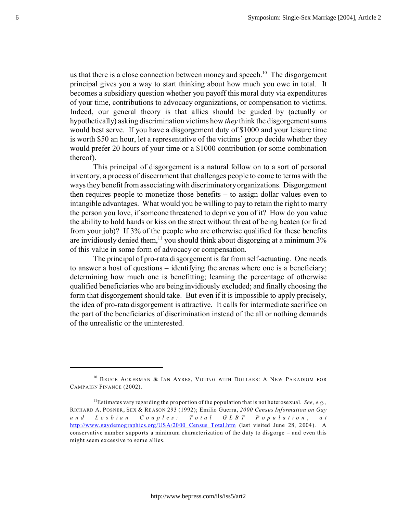us that there is a close connection between money and speech.<sup>10</sup> The disgorgement principal gives you a way to start thinking about how much you owe in total. It becomes a subsidiary question whether you payoff this moral duty via expenditures of your time, contributions to advocacy organizations, or compensation to victims. Indeed, our general theory is that allies should be guided by (actually or hypothetically) asking discrimination victims how *they* think the disgorgement sums would best serve. If you have a disgorgement duty of \$1000 and your leisure time is worth \$50 an hour, let a representative of the victims' group decide whether they would prefer 20 hours of your time or a \$1000 contribution (or some combination thereof).

This principal of disgorgement is a natural follow on to a sort of personal inventory, a process of discernment that challenges people to come to terms with the ways they benefit from associating with discriminatory organizations. Disgorgement then requires people to monetize those benefits – to assign dollar values even to intangible advantages. What would you be willing to pay to retain the right to marry the person you love, if someone threatened to deprive you of it? How do you value the ability to hold hands or kiss on the street without threat of being beaten (or fired from your job)? If 3% of the people who are otherwise qualified for these benefits are invidiously denied them,<sup>11</sup> you should think about disgorging at a minimum 3% of this value in some form of advocacy or compensation.

The principal of pro-rata disgorgement is far from self-actuating. One needs to answer a host of questions – identifying the arenas where one is a beneficiary; determining how much one is benefitting; learning the percentage of otherwise qualified beneficiaries who are being invidiously excluded; and finally choosing the form that disgorgement should take. But even if it is impossible to apply precisely, the idea of pro-rata disgorgement is attractive. It calls for intermediate sacrifice on the part of the beneficiaries of discrimination instead of the all or nothing demands of the unrealistic or the uninterested.

<sup>&</sup>lt;sup>10</sup> BRUCE ACKERMAN & IAN AYRES, VOTING WITH DOLLARS: A NEW PARADIGM FOR CAMPAIGN FINANCE (2002).

<sup>&</sup>lt;sup>11</sup>Estimates vary regarding the proportion of the population that is not heterosexual. *See, e.g.*, RICHARD A. POSNER, SEX & REASON 293 (1992); Emilio Guerra, *2000 Census Information on Gay and Lesbi an Couples : Tot al GLB T P opu l a t i o n* , *a t* http://www.gaydemographics.org/USA/2000 Census Total.htm (last visited June 28, 2004). A conservative number supports a minimum characterization of the duty to disgorge – and even this might seem excessive to some allies.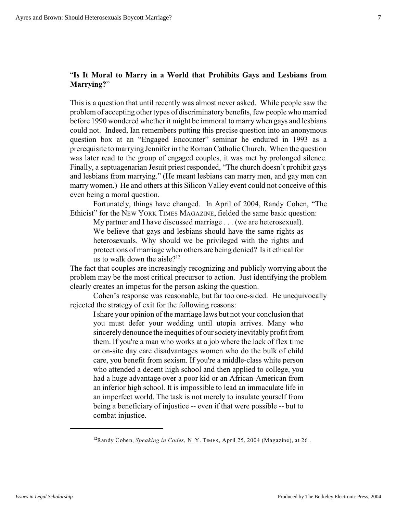# "**Is It Moral to Marry in a World that Prohibits Gays and Lesbians from Marrying?**"

This is a question that until recently was almost never asked. While people saw the problem of accepting other types of discriminatory benefits, few people who married before 1990 wondered whether it might be immoral to marry when gays and lesbians could not. Indeed, Ian remembers putting this precise question into an anonymous question box at an "Engaged Encounter" seminar he endured in 1993 as a prerequisite to marrying Jennifer in the Roman Catholic Church. When the question was later read to the group of engaged couples, it was met by prolonged silence. Finally, a septuagenarian Jesuit priest responded, "The church doesn't prohibit gays and lesbians from marrying." (He meant lesbians can marry men, and gay men can marry women.) He and others at this Silicon Valley event could not conceive of this even being a moral question.

Fortunately, things have changed. In April of 2004, Randy Cohen, "The Ethicist" for the NEW YORK TIMES MAGAZINE, fielded the same basic question:

My partner and I have discussed marriage . . . (we are heterosexual). We believe that gays and lesbians should have the same rights as heterosexuals. Why should we be privileged with the rights and protections of marriage when others are being denied? Is it ethical for us to walk down the aisle?<sup>12</sup>

The fact that couples are increasingly recognizing and publicly worrying about the problem may be the most critical precursor to action. Just identifying the problem clearly creates an impetus for the person asking the question.

Cohen's response was reasonable, but far too one-sided. He unequivocally rejected the strategy of exit for the following reasons:

I share your opinion of the marriage laws but not your conclusion that you must defer your wedding until utopia arrives. Many who sincerely denounce the inequities of our society inevitably profit from them. If you're a man who works at a job where the lack of flex time or on-site day care disadvantages women who do the bulk of child care, you benefit from sexism. If you're a middle-class white person who attended a decent high school and then applied to college, you had a huge advantage over a poor kid or an African-American from an inferior high school. It is impossible to lead an immaculate life in an imperfect world. The task is not merely to insulate yourself from being a beneficiary of injustice -- even if that were possible -- but to combat injustice.

<sup>&</sup>lt;sup>12</sup>Randy Cohen, *Speaking in Codes*, N.Y. TIMES, April 25, 2004 (Magazine), at 26.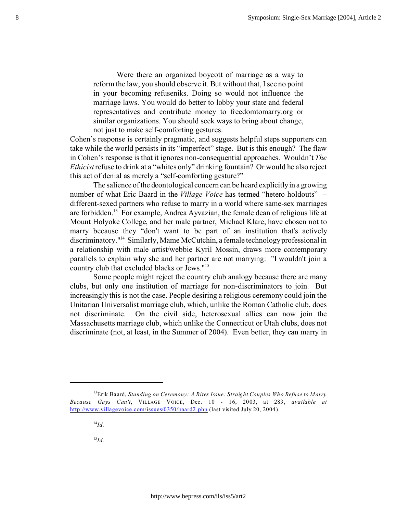Were there an organized boycott of marriage as a way to reform the law, you should observe it. But without that, I see no point in your becoming refuseniks. Doing so would not influence the marriage laws. You would do better to lobby your state and federal representatives and contribute money to freedomtomarry.org or similar organizations. You should seek ways to bring about change, not just to make self-comforting gestures.

Cohen's response is certainly pragmatic, and suggests helpful steps supporters can take while the world persists in its "imperfect" stage. But is this enough? The flaw in Cohen's response is that it ignores non-consequential approaches. Wouldn't *The Ethicist* refuse to drink at a "whites only" drinking fountain? Or would he also reject this act of denial as merely a "self-comforting gesture?"

The salience of the deontological concern can be heard explicitly in a growing number of what Eric Baard in the *Village Voice* has termed "hetero holdouts" – different-sexed partners who refuse to marry in a world where same-sex marriages are forbidden.<sup>13</sup> For example, Andrea Ayvazian, the female dean of religious life at Mount Holyoke College, and her male partner, Michael Klare, have chosen not to marry because they "don't want to be part of an institution that's actively discriminatory."<sup>14</sup> Similarly, Mame McCutchin, a female technology professional in a relationship with male artist/webbie Kyril Mossin, draws more contemporary parallels to explain why she and her partner are not marrying: "I wouldn't join a country club that excluded blacks or Jews."<sup>15</sup>

Some people might reject the country club analogy because there are many clubs, but only one institution of marriage for non-discriminators to join. But increasingly this is not the case. People desiring a religious ceremony could join the Unitarian Universalist marriage club, which, unlike the Roman Catholic club, does not discriminate. On the civil side, heterosexual allies can now join the Massachusetts marriage club, which unlike the Connecticut or Utah clubs, does not discriminate (not, at least, in the Summer of 2004). Even better, they can marry in

<sup>15</sup>*Id.*

<sup>13</sup>Erik Baard, *Standing on Ceremony: A Rites Issue: Straight Couples Who Refuse to Marry Because Gays Can't*, VILLAGE VOICE, Dec. 10 - 16, 2003, at 283, *available at* [http://www.villagevoice.com/issues/0350/baard2.php](http://www.villagevoice.com/issues/0350/baard.php) (last visited July 20, 2004).

<sup>14</sup>*Id.*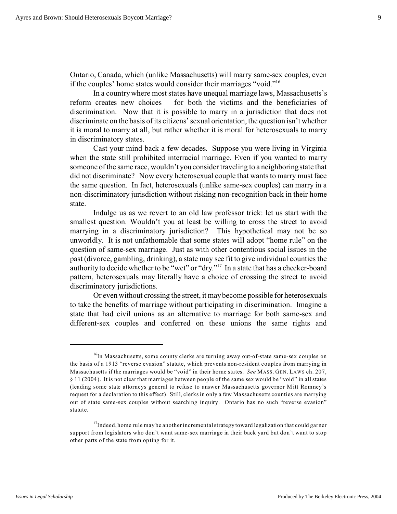Ontario, Canada, which (unlike Massachusetts) will marry same-sex couples, even if the couples' home states would consider their marriages "void."<sup>16</sup>

In a country where most states have unequal marriage laws, Massachusetts's reform creates new choices – for both the victims and the beneficiaries of discrimination. Now that it is possible to marry in a jurisdiction that does not discriminate on the basis of its citizens' sexual orientation, the question isn't whether it is moral to marry at all, but rather whether it is moral for heterosexuals to marry in discriminatory states.

Cast your mind back a few decades. Suppose you were living in Virginia when the state still prohibited interracial marriage. Even if you wanted to marry someone of the same race, wouldn't you consider traveling to a neighboring state that did not discriminate? Now every heterosexual couple that wants to marry must face the same question. In fact, heterosexuals (unlike same-sex couples) can marry in a non-discriminatory jurisdiction without risking non-recognition back in their home state.

Indulge us as we revert to an old law professor trick: let us start with the smallest question. Wouldn't you at least be willing to cross the street to avoid marrying in a discriminatory jurisdiction? This hypothetical may not be so unworldly. It is not unfathomable that some states will adopt "home rule" on the question of same-sex marriage. Just as with other contentious social issues in the past (divorce, gambling, drinking), a state may see fit to give individual counties the authority to decide whether to be "wet" or "dry."<sup>17</sup> In a state that has a checker-board pattern, heterosexuals may literally have a choice of crossing the street to avoid discriminatory jurisdictions.

Or even without crossing the street, it may become possible for heterosexuals to take the benefits of marriage without participating in discrimination. Imagine a state that had civil unions as an alternative to marriage for both same-sex and different-sex couples and conferred on these unions the same rights and

<sup>&</sup>lt;sup>16</sup>In Massachusetts, some county clerks are turning away out-of-state same-sex couples on the basis of a 1913 "reverse evasion" statute, which prevents non-resident couples from marrying in Massachusetts if the marriages would be "void" in their home states. *See* MASS. GEN. LAWS ch. 207, § 11 (2004). It is not clear that marriages between people of the same sex would be "void" in all states (leading some state attorneys general to refuse to answer Massachusetts governor M itt Romney's request for a declaration to this effect). Still, clerks in only a few Massachusetts counties are marrying out of state same-sex couples without searching inquiry. Ontario has no such "reverse evasion" statute.

 $17$ Indeed, home rule may be another incremental strategy toward legalization that could garner support from legislators who don't want same-sex marriage in their back yard but don't want to stop other parts of the state from opting for it.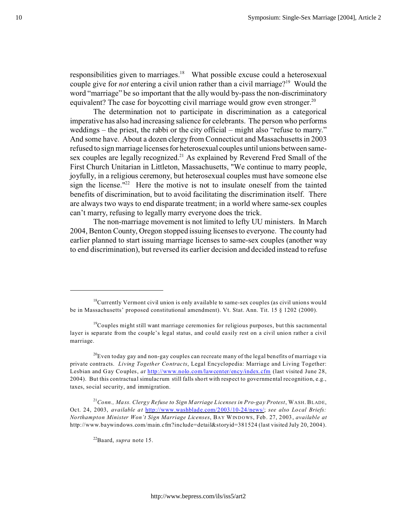responsibilities given to marriages. $18$  What possible excuse could a heterosexual couple give for *not* entering a civil union rather than a civil marriage?<sup>19</sup> Would the word "marriage" be so important that the ally would by-pass the non-discriminatory equivalent? The case for boycotting civil marriage would grow even stronger.<sup>20</sup>

The determination not to participate in discrimination as a categorical imperative has also had increasing salience for celebrants. The person who performs weddings – the priest, the rabbi or the city official – might also "refuse to marry." And some have. About a dozen clergy from Connecticut and Massachusetts in 2003 refused to sign marriage licenses for heterosexual couples until unions between samesex couples are legally recognized.<sup>21</sup> As explained by Reverend Fred Small of the First Church Unitarian in Littleton, Massachusetts, "We continue to marry people, joyfully, in a religious ceremony, but heterosexual couples must have someone else sign the license."<sup>22</sup> Here the motive is not to insulate oneself from the tainted benefits of discrimination, but to avoid facilitating the discrimination itself. There are always two ways to end disparate treatment; in a world where same-sex couples can't marry, refusing to legally marry everyone does the trick.

The non-marriage movement is not limited to lefty UU ministers. In March 2004, Benton County, Oregon stopped issuing licenses to everyone. The county had earlier planned to start issuing marriage licenses to same-sex couples (another way to end discrimination), but reversed its earlier decision and decided instead to refuse

 $^{20}$ Even today gay and non-gay couples can recreate many of the legal benefits of marriage via private contracts. *Living Together Contracts*, Legal Encyclopedia: Marriage and Living Together: Lesbian and Gay Couples, *at* <http://www.nolo.com/lawcenter/ency/index.cfm> (last visited June 28, 2004). But this contractual simulacrum still falls short with respect to governmental recognition, e.g., taxes, social security, and immigration.

<sup>21</sup>*Conn., Mass. Clergy Refuse to Sign Marriage Licenses in Pro-gay Protest*, WASH. BLADE, Oct. 24, 2003, *available at* [http://www.washblade.com/2003/10-24/news/](http://www.washblade.com/2003/10-24/news/religion.ribs.cfm;); *see also Local Briefs: Northampton Minister Won't Sign Marriage Licenses*, BAY WINDOWS, Feb. 27, 2003, *available at* http://www.baywindows.com/main.cfm?include=detail&storyid=381524 (last visited July 20, 2004).

<sup>22</sup>Baard, *supra* note 15.

 $18$ Currently Vermont civil union is only available to same-sex couples (as civil unions would be in Massachusetts' proposed constitutional amendment). Vt. Stat. Ann. Tit. 15 § 1202 (2000).

<sup>&</sup>lt;sup>19</sup>Couples might still want marriage ceremonies for religious purposes, but this sacramental layer is separate from the couple's legal status, and could easily rest on a civil union rather a civil marriage.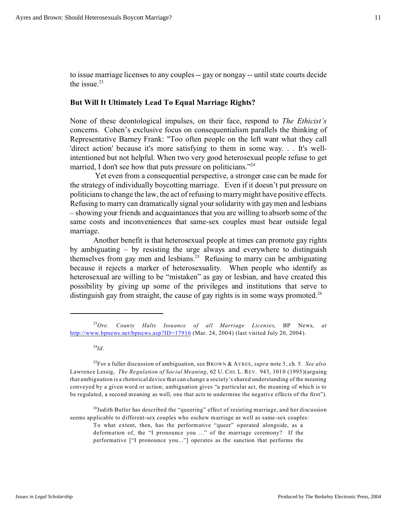to issue marriage licenses to any couples -- gay or nongay -- until state courts decide the issue. $23$ 

## **But Will It Ultimately Lead To Equal Marriage Rights?**

None of these deontological impulses, on their face, respond to *The Ethicist's* concerns. Cohen's exclusive focus on consequentialism parallels the thinking of Representative Barney Frank: "Too often people on the left want what they call 'direct action' because it's more satisfying to them in some way. . . It's wellintentioned but not helpful. When two very good heterosexual people refuse to get married, I don't see how that puts pressure on politicians."<sup>24</sup>

 Yet even from a consequential perspective, a stronger case can be made for the strategy of individually boycotting marriage. Even if it doesn't put pressure on politicians to change the law, the act of refusing to marry might have positive effects. Refusing to marry can dramatically signal your solidarity with gay men and lesbians – showing your friends and acquaintances that you are willing to absorb some of the same costs and inconveniences that same-sex couples must bear outside legal marriage.

Another benefit is that heterosexual people at times can promote gay rights by ambiguating – by resisting the urge always and everywhere to distinguish themselves from gay men and lesbians.<sup>25</sup> Refusing to marry can be ambiguating because it rejects a marker of heterosexuality. When people who identify as heterosexual are willing to be "mistaken" as gay or lesbian, and have created this possibility by giving up some of the privileges and institutions that serve to distinguish gay from straight, the cause of gay rights is in some ways promoted.<sup>26</sup>

 $^{24}$ *Id*.

To what extent, then, has the performative "queer" operated alongside, as a deformation of, the "I pronounce you ..." of the marriage ceremony? If the

performative ["I pronounce you..."] operates as the sanction that performs the

<sup>23</sup>*Ore. County Halts Issuance of all Marriage Licenses*, BP News, *at* <http://www.bpnews.net/bpnews.asp?ID=17916> (Mar. 24, 2004) (last visited July 20, 2004).

<sup>25</sup>For a fuller discussion of ambiguation, see BROWN & AYRES, *supra* note 3, ch. 5. *See also* Lawrence Lessig, *The Regulation of Social Meaning*, 62 U. CHI. L. REV. 943, 1010 (1995)(arguing that ambiguation is a rhetorical device that can change a society's shared understanding of the meaning conveyed by a given word or action; ambiguation gives "a particular act, the meaning of which is to be regulated, a second meaning as well, one that acts to undermine the negative effects of the first").

 $^{26}$ Judith Butler has described the "queering" effect of resisting marriage, and her discussion seems applicable to different-sex couples who eschew marriage as well as same-sex couples: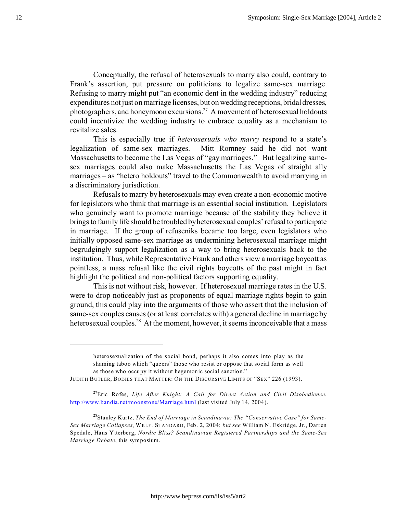Conceptually, the refusal of heterosexuals to marry also could, contrary to Frank's assertion, put pressure on politicians to legalize same-sex marriage. Refusing to marry might put "an economic dent in the wedding industry" reducing expenditures not just on marriage licenses, but on wedding receptions, bridal dresses, photographers, and honeymoon excursions.<sup>27</sup> A movement of heterosexual holdouts could incentivize the wedding industry to embrace equality as a mechanism to revitalize sales.

This is especially true if *heterosexuals who marry* respond to a state's legalization of same-sex marriages. Mitt Romney said he did not want Massachusetts to become the Las Vegas of "gay marriages." But legalizing samesex marriages could also make Massachusetts the Las Vegas of straight ally marriages – as "hetero holdouts" travel to the Commonwealth to avoid marrying in a discriminatory jurisdiction.

Refusals to marry by heterosexuals may even create a non-economic motive for legislators who think that marriage is an essential social institution. Legislators who genuinely want to promote marriage because of the stability they believe it brings to family life should be troubled by heterosexual couples' refusal to participate in marriage. If the group of refuseniks became too large, even legislators who initially opposed same-sex marriage as undermining heterosexual marriage might begrudgingly support legalization as a way to bring heterosexuals back to the institution. Thus, while Representative Frank and others view a marriage boycott as pointless, a mass refusal like the civil rights boycotts of the past might in fact highlight the political and non-political factors supporting equality.

This is not without risk, however. If heterosexual marriage rates in the U.S. were to drop noticeably just as proponents of equal marriage rights begin to gain ground, this could play into the arguments of those who assert that the inclusion of same-sex couples causes (or at least correlates with) a general decline in marriage by heterosexual couples.<sup>28</sup> At the moment, however, it seems inconceivable that a mass

heterosexualization of the social bond, perhaps it also comes into play as the shaming taboo which "queers" those who resist or oppose that social form as well as those who occupy it without hegemonic social sanction."

JUDITH BUTLER, BODIES THAT MATTER: ON THE DISCURSIVE LIMITS OF "SEX" 226 (1993).

<sup>27</sup>Eric Rofes, *Life After Knight: A Call for Direct Action and Civil Disobedience*, <http://www.bandia.net/moonstone/Marriage.html> (last visited July 14, 2004).

<sup>&</sup>lt;sup>28</sup> Stanley Kurtz, The End of Marriage in Scandinavia: The "Conservative Case" for Same-*Sex Marriage Collapses*, WKLY. STANDARD, Feb. 2, 2004; *but see* William N. Eskridge, Jr., Darren Spedale, Hans Ytterberg, *Nordic Bliss? Scandinavian Registered Partnerships and the Same-Sex Marriage Debate*, this symposium.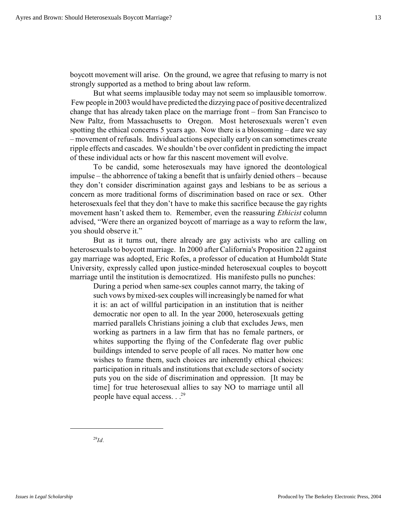boycott movement will arise. On the ground, we agree that refusing to marry is not strongly supported as a method to bring about law reform.

But what seems implausible today may not seem so implausible tomorrow. Few people in 2003 would have predicted the dizzying pace of positive decentralized change that has already taken place on the marriage front – from San Francisco to New Paltz, from Massachusetts to Oregon. Most heterosexuals weren't even spotting the ethical concerns 5 years ago. Now there is a blossoming – dare we say – movement of refusals. Individual actions especially early on can sometimes create ripple effects and cascades. We shouldn't be over confident in predicting the impact of these individual acts or how far this nascent movement will evolve.

To be candid, some heterosexuals may have ignored the deontological impulse – the abhorrence of taking a benefit that is unfairly denied others – because they don't consider discrimination against gays and lesbians to be as serious a concern as more traditional forms of discrimination based on race or sex. Other heterosexuals feel that they don't have to make this sacrifice because the gay rights movement hasn't asked them to. Remember, even the reassuring *Ethicist* column advised, "Were there an organized boycott of marriage as a way to reform the law, you should observe it."

But as it turns out, there already are gay activists who are calling on heterosexuals to boycott marriage. In 2000 after California's Proposition 22 against gay marriage was adopted, Eric Rofes, a professor of education at Humboldt State University, expressly called upon justice-minded heterosexual couples to boycott marriage until the institution is democratized. His manifesto pulls no punches:

During a period when same-sex couples cannot marry, the taking of such vows by mixed-sex couples will increasingly be named for what it is: an act of willful participation in an institution that is neither democratic nor open to all. In the year 2000, heterosexuals getting married parallels Christians joining a club that excludes Jews, men working as partners in a law firm that has no female partners, or whites supporting the flying of the Confederate flag over public buildings intended to serve people of all races. No matter how one wishes to frame them, such choices are inherently ethical choices: participation in rituals and institutions that exclude sectors of society puts you on the side of discrimination and oppression. [It may be time] for true heterosexual allies to say NO to marriage until all people have equal access.  $\cdot$ .<sup>29</sup>

<sup>29</sup>*Id.*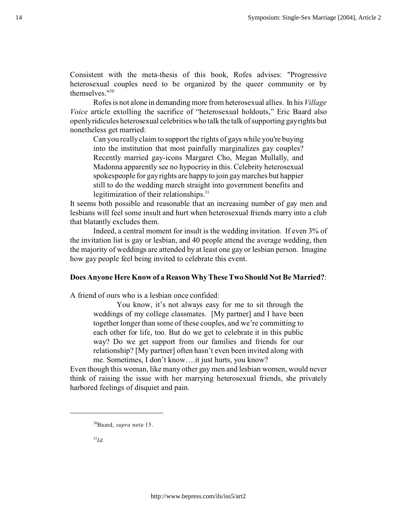Consistent with the meta-thesis of this book, Rofes advises: "Progressive heterosexual couples need to be organized by the queer community or by themselves."<sup>30</sup>

Rofes is not alone in demanding more from heterosexual allies. In his *Village Voice* article extolling the sacrifice of "heterosexual holdouts," Eric Baard also openly ridicules heterosexual celebrities who talk the talk of supporting gay rights but nonetheless get married:

Can you really claim to support the rights of gays while you're buying into the institution that most painfully marginalizes gay couples? Recently married gay-icons Margaret Cho, Megan Mullally, and Madonna apparently see no hypocrisy in this. Celebrity heterosexual spokespeople for gay rights are happy to join gay marches but happier still to do the wedding march straight into government benefits and legitimization of their relationships.<sup>31</sup>

It seems both possible and reasonable that an increasing number of gay men and lesbians will feel some insult and hurt when heterosexual friends marry into a club that blatantly excludes them.

Indeed, a central moment for insult is the wedding invitation. If even 3% of the invitation list is gay or lesbian, and 40 people attend the average wedding, then the majority of weddings are attended by at least one gay or lesbian person. Imagine how gay people feel being invited to celebrate this event.

## **Does Anyone Here Know of a Reason Why These Two Should Not Be Married?**:

A friend of ours who is a lesbian once confided:

You know, it's not always easy for me to sit through the weddings of my college classmates. [My partner] and I have been together longer than some of these couples, and we're committing to each other for life, too. But do we get to celebrate it in this public way? Do we get support from our families and friends for our relationship? [My partner] often hasn't even been invited along with me. Sometimes, I don't know….it just hurts, you know?

Even though this woman, like many other gay men and lesbian women, would never think of raising the issue with her marrying heterosexual friends, she privately harbored feelings of disquiet and pain.

 $^{31}Id.$ 

<sup>30</sup>Baard, *supra* note 15.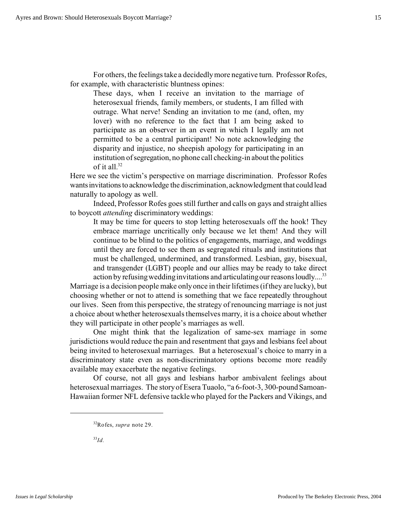For others, the feelings take a decidedly more negative turn. Professor Rofes, for example, with characteristic bluntness opines:

These days, when I receive an invitation to the marriage of heterosexual friends, family members, or students, I am filled with outrage. What nerve! Sending an invitation to me (and, often, my lover) with no reference to the fact that I am being asked to participate as an observer in an event in which I legally am not permitted to be a central participant! No note acknowledging the disparity and injustice, no sheepish apology for participating in an institution of segregation, no phone call checking-in about the politics of it all.<sup>32</sup>

Here we see the victim's perspective on marriage discrimination. Professor Rofes wants invitations to acknowledge the discrimination, acknowledgment that could lead naturally to apology as well.

Indeed, Professor Rofes goes still further and calls on gays and straight allies to boycott *attending* discriminatory weddings:

It may be time for queers to stop letting heterosexuals off the hook! They embrace marriage uncritically only because we let them! And they will continue to be blind to the politics of engagements, marriage, and weddings until they are forced to see them as segregated rituals and institutions that must be challenged, undermined, and transformed. Lesbian, gay, bisexual, and transgender (LGBT) people and our allies may be ready to take direct action by refusing wedding invitations and articulating our reasons loudly....<sup>33</sup>

Marriage is a decision people make only once in their lifetimes (if they are lucky), but choosing whether or not to attend is something that we face repeatedly throughout our lives. Seen from this perspective, the strategy of renouncing marriage is not just a choice about whether heterosexuals themselves marry, it is a choice about whether they will participate in other people's marriages as well.

One might think that the legalization of same-sex marriage in some jurisdictions would reduce the pain and resentment that gays and lesbians feel about being invited to heterosexual marriages. But a heterosexual's choice to marry in a discriminatory state even as non-discriminatory options become more readily available may exacerbate the negative feelings.

Of course, not all gays and lesbians harbor ambivalent feelings about heterosexual marriages. The story of Esera Tuaolo, "a 6-foot-3, 300-pound Samoan-Hawaiian former NFL defensive tackle who played for the Packers and Vikings, and

<sup>33</sup>*Id.*

<sup>32</sup>Rofes, *supra* note 29.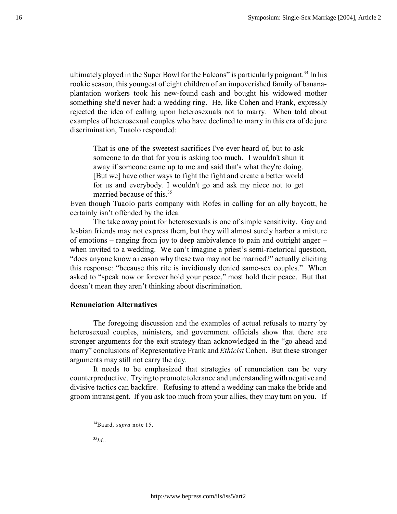ultimately played in the Super Bowl for the Falcons" is particularly poignant.<sup>34</sup> In his rookie season, this youngest of eight children of an impoverished family of bananaplantation workers took his new-found cash and bought his widowed mother something she'd never had: a wedding ring. He, like Cohen and Frank, expressly rejected the idea of calling upon heterosexuals not to marry. When told about examples of heterosexual couples who have declined to marry in this era of de jure discrimination, Tuaolo responded:

That is one of the sweetest sacrifices I've ever heard of, but to ask someone to do that for you is asking too much. I wouldn't shun it away if someone came up to me and said that's what they're doing. [But we] have other ways to fight the fight and create a better world for us and everybody. I wouldn't go and ask my niece not to get married because of this  $35$ .

Even though Tuaolo parts company with Rofes in calling for an ally boycott, he certainly isn't offended by the idea.

The take away point for heterosexuals is one of simple sensitivity. Gay and lesbian friends may not express them, but they will almost surely harbor a mixture of emotions – ranging from joy to deep ambivalence to pain and outright anger – when invited to a wedding. We can't imagine a priest's semi-rhetorical question, "does anyone know a reason why these two may not be married?" actually eliciting this response: "because this rite is invidiously denied same-sex couples." When asked to "speak now or forever hold your peace," most hold their peace. But that doesn't mean they aren't thinking about discrimination.

# **Renunciation Alternatives**

The foregoing discussion and the examples of actual refusals to marry by heterosexual couples, ministers, and government officials show that there are stronger arguments for the exit strategy than acknowledged in the "go ahead and marry" conclusions of Representative Frank and *Ethicist* Cohen. But these stronger arguments may still not carry the day.

It needs to be emphasized that strategies of renunciation can be very counterproductive. Trying to promote tolerance and understandingwith negative and divisive tactics can backfire. Refusing to attend a wedding can make the bride and groom intransigent. If you ask too much from your allies, they may turn on you. If

<sup>35</sup>*Id.*.

<sup>34</sup>Baard, *supra* note 15.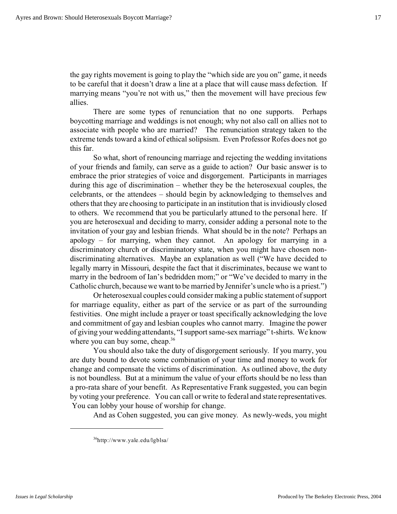the gay rights movement is going to play the "which side are you on" game, it needs to be careful that it doesn't draw a line at a place that will cause mass defection. If marrying means "you're not with us," then the movement will have precious few allies.

There are some types of renunciation that no one supports. Perhaps boycotting marriage and weddings is not enough; why not also call on allies not to associate with people who are married? The renunciation strategy taken to the extreme tends toward a kind of ethical solipsism. Even Professor Rofes does not go this far.

So what, short of renouncing marriage and rejecting the wedding invitations of your friends and family, can serve as a guide to action? Our basic answer is to embrace the prior strategies of voice and disgorgement. Participants in marriages during this age of discrimination – whether they be the heterosexual couples, the celebrants, or the attendees – should begin by acknowledging to themselves and others that they are choosing to participate in an institution that is invidiously closed to others. We recommend that you be particularly attuned to the personal here. If you are heterosexual and deciding to marry, consider adding a personal note to the invitation of your gay and lesbian friends. What should be in the note? Perhaps an apology – for marrying, when they cannot. An apology for marrying in a discriminatory church or discriminatory state, when you might have chosen nondiscriminating alternatives. Maybe an explanation as well ("We have decided to legally marry in Missouri, despite the fact that it discriminates, because we want to marry in the bedroom of Ian's bedridden mom;" or "We've decided to marry in the Catholic church, because we want to be married by Jennifer's uncle who is a priest.")

Or heterosexual couples could consider making a public statement of support for marriage equality, either as part of the service or as part of the surrounding festivities. One might include a prayer or toast specifically acknowledging the love and commitment of gay and lesbian couples who cannot marry. Imagine the power of giving your wedding attendants, "I support same-sex marriage" t-shirts. We know where you can buy some, cheap.<sup>36</sup>

You should also take the duty of disgorgement seriously. If you marry, you are duty bound to devote some combination of your time and money to work for change and compensate the victims of discrimination. As outlined above, the duty is not boundless. But at a minimum the value of your efforts should be no less than a pro-rata share of your benefit. As Representative Frank suggested, you can begin by voting your preference. You can call or write to federal and state representatives. You can lobby your house of worship for change.

And as Cohen suggested, you can give money. As newly-weds, you might

<sup>36</sup>http://www.yale.edu/lgblsa/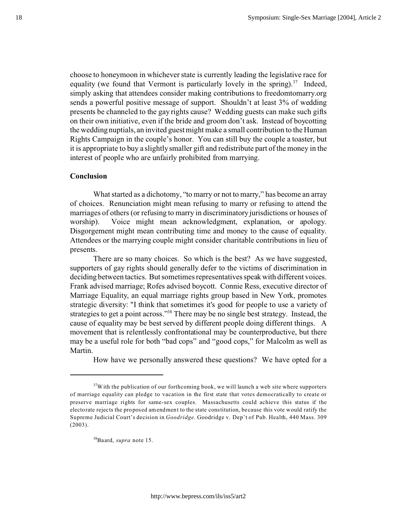choose to honeymoon in whichever state is currently leading the legislative race for equality (we found that Vermont is particularly lovely in the spring). $37$  Indeed, simply asking that attendees consider making contributions to freedomtomarry.org sends a powerful positive message of support. Shouldn't at least 3% of wedding presents be channeled to the gay rights cause? Wedding guests can make such gifts on their own initiative, even if the bride and groom don't ask. Instead of boycotting the wedding nuptials, an invited guest might make a small contribution to the Human Rights Campaign in the couple's honor. You can still buy the couple a toaster, but it is appropriate to buy a slightly smaller gift and redistribute part of the money in the interest of people who are unfairly prohibited from marrying.

# **Conclusion**

What started as a dichotomy, "to marry or not to marry," has become an array of choices. Renunciation might mean refusing to marry or refusing to attend the marriages of others (or refusing to marry in discriminatory jurisdictions or houses of worship). Voice might mean acknowledgment, explanation, or apology. Disgorgement might mean contributing time and money to the cause of equality. Attendees or the marrying couple might consider charitable contributions in lieu of presents.

There are so many choices. So which is the best? As we have suggested, supporters of gay rights should generally defer to the victims of discrimination in deciding between tactics. But sometimes representatives speak with different voices. Frank advised marriage; Rofes advised boycott. Connie Ress, executive director of Marriage Equality, an equal marriage rights group based in New York, promotes strategic diversity: "I think that sometimes it's good for people to use a variety of strategies to get a point across."<sup>38</sup> There may be no single best strategy. Instead, the cause of equality may be best served by different people doing different things. A movement that is relentlessly confrontational may be counterproductive, but there may be a useful role for both "bad cops" and "good cops," for Malcolm as well as Martin.

How have we personally answered these questions? We have opted for a

 $37$ With the publication of our forthcoming book, we will launch a web site where supporters of marriage equality can pledge to vacation in the first state that votes democratically to create or preserve marriage rights for same-sex couples. Massachusetts could achieve this status if the electorate rejects the proposed amendment to the state constitution, because this vote would ratify the Supreme Judicial Court's decision in *Goodridge*. Goodridge v. Dep't of Pub. Health, 440 Mass. 309  $(2003)$ .

<sup>38</sup>Baard, *supra* note 15.